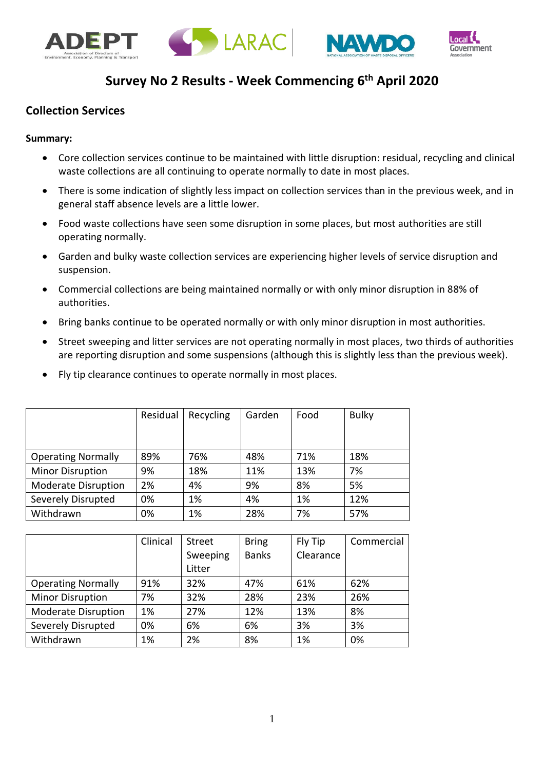





# **Survey No 2 Results - Week Commencing 6 th April 2020**

#### **Collection Services**

#### **Summary:**

- Core collection services continue to be maintained with little disruption: residual, recycling and clinical waste collections are all continuing to operate normally to date in most places.
- There is some indication of slightly less impact on collection services than in the previous week, and in general staff absence levels are a little lower.
- Food waste collections have seen some disruption in some places, but most authorities are still operating normally.
- Garden and bulky waste collection services are experiencing higher levels of service disruption and suspension.
- Commercial collections are being maintained normally or with only minor disruption in 88% of authorities.
- Bring banks continue to be operated normally or with only minor disruption in most authorities.
- Street sweeping and litter services are not operating normally in most places, two thirds of authorities are reporting disruption and some suspensions (although this is slightly less than the previous week).
- Fly tip clearance continues to operate normally in most places.

|                            | Residual | Recycling | Garden | Food | <b>Bulky</b> |
|----------------------------|----------|-----------|--------|------|--------------|
| <b>Operating Normally</b>  | 89%      | 76%       | 48%    | 71%  | 18%          |
| <b>Minor Disruption</b>    | 9%       | 18%       | 11%    | 13%  | 7%           |
| <b>Moderate Disruption</b> | 2%       | 4%        | 9%     | 8%   | 5%           |
| Severely Disrupted         | 0%       | 1%        | 4%     | 1%   | 12%          |
| Withdrawn                  | 0%       | 1%        | 28%    | 7%   | 57%          |

| Clinical | Street   | <b>Bring</b> | Fly Tip   | Commercial |
|----------|----------|--------------|-----------|------------|
|          | Sweeping | <b>Banks</b> | Clearance |            |
|          | Litter   |              |           |            |
| 91%      | 32%      | 47%          | 61%       | 62%        |
| 7%       | 32%      | 28%          | 23%       | 26%        |
| 1%       | 27%      | 12%          | 13%       | 8%         |
| 0%       | 6%       | 6%           | 3%        | 3%         |
| 1%       | 2%       | 8%           | 1%        | 0%         |
|          |          |              |           |            |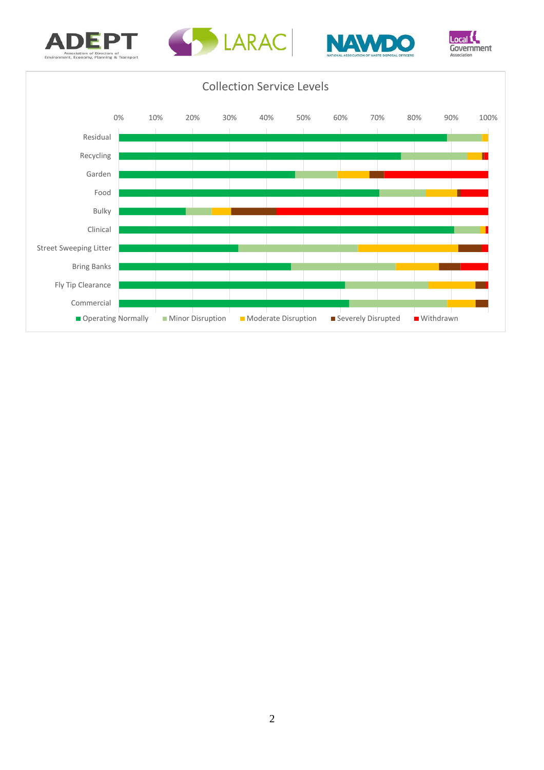







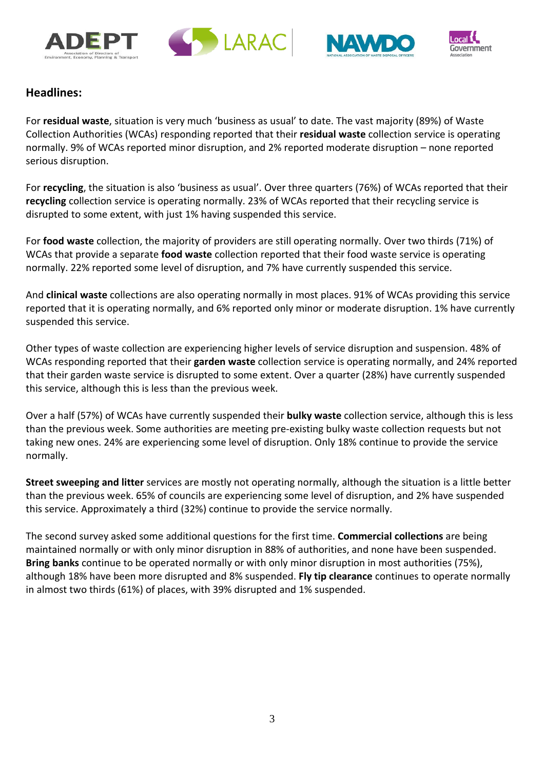





#### **Headlines:**

For **residual waste**, situation is very much 'business as usual' to date. The vast majority (89%) of Waste Collection Authorities (WCAs) responding reported that their **residual waste** collection service is operating normally. 9% of WCAs reported minor disruption, and 2% reported moderate disruption – none reported serious disruption.

For **recycling**, the situation is also 'business as usual'. Over three quarters (76%) of WCAs reported that their **recycling** collection service is operating normally. 23% of WCAs reported that their recycling service is disrupted to some extent, with just 1% having suspended this service.

For **food waste** collection, the majority of providers are still operating normally. Over two thirds (71%) of WCAs that provide a separate **food waste** collection reported that their food waste service is operating normally. 22% reported some level of disruption, and 7% have currently suspended this service.

And **clinical waste** collections are also operating normally in most places. 91% of WCAs providing this service reported that it is operating normally, and 6% reported only minor or moderate disruption. 1% have currently suspended this service.

Other types of waste collection are experiencing higher levels of service disruption and suspension. 48% of WCAs responding reported that their **garden waste** collection service is operating normally, and 24% reported that their garden waste service is disrupted to some extent. Over a quarter (28%) have currently suspended this service, although this is less than the previous week.

Over a half (57%) of WCAs have currently suspended their **bulky waste** collection service, although this is less than the previous week. Some authorities are meeting pre-existing bulky waste collection requests but not taking new ones. 24% are experiencing some level of disruption. Only 18% continue to provide the service normally.

**Street sweeping and litter** services are mostly not operating normally, although the situation is a little better than the previous week. 65% of councils are experiencing some level of disruption, and 2% have suspended this service. Approximately a third (32%) continue to provide the service normally.

The second survey asked some additional questions for the first time. **Commercial collections** are being maintained normally or with only minor disruption in 88% of authorities, and none have been suspended. **Bring banks** continue to be operated normally or with only minor disruption in most authorities (75%), although 18% have been more disrupted and 8% suspended. **Fly tip clearance** continues to operate normally in almost two thirds (61%) of places, with 39% disrupted and 1% suspended.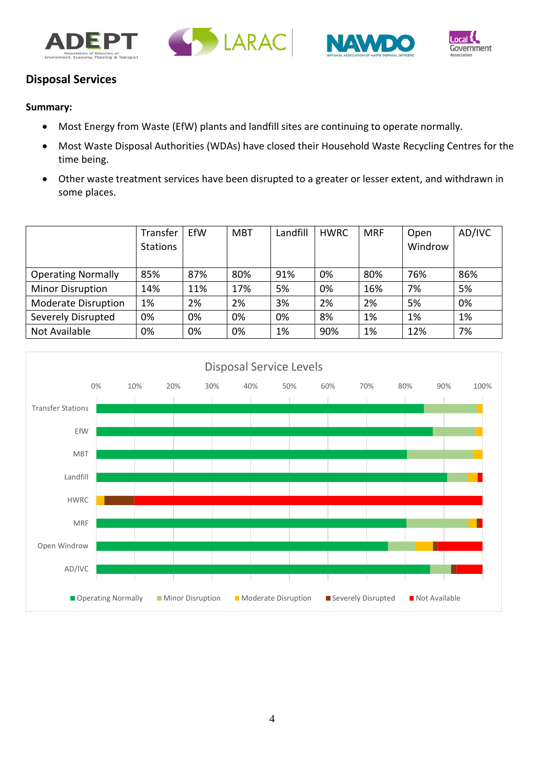







## **Disposal Services**

#### **Summary:**

- Most Energy from Waste (EfW) plants and landfill sites are continuing to operate normally.
- Most Waste Disposal Authorities (WDAs) have closed their Household Waste Recycling Centres for the time being.
- Other waste treatment services have been disrupted to a greater or lesser extent, and withdrawn in some places.

|                            | Transfer<br><b>Stations</b> | EfW | <b>MBT</b> | Landfill | <b>HWRC</b> | <b>MRF</b> | Open<br>Windrow | AD/IVC |
|----------------------------|-----------------------------|-----|------------|----------|-------------|------------|-----------------|--------|
| <b>Operating Normally</b>  | 85%                         | 87% | 80%        | 91%      | 0%          | 80%        | 76%             | 86%    |
| <b>Minor Disruption</b>    | 14%                         | 11% | 17%        | 5%       | 0%          | 16%        | 7%              | 5%     |
| <b>Moderate Disruption</b> | 1%                          | 2%  | 2%         | 3%       | 2%          | 2%         | 5%              | 0%     |
| Severely Disrupted         | 0%                          | 0%  | 0%         | 0%       | 8%          | 1%         | 1%              | 1%     |
| Not Available              | 0%                          | 0%  | 0%         | 1%       | 90%         | 1%         | 12%             | 7%     |

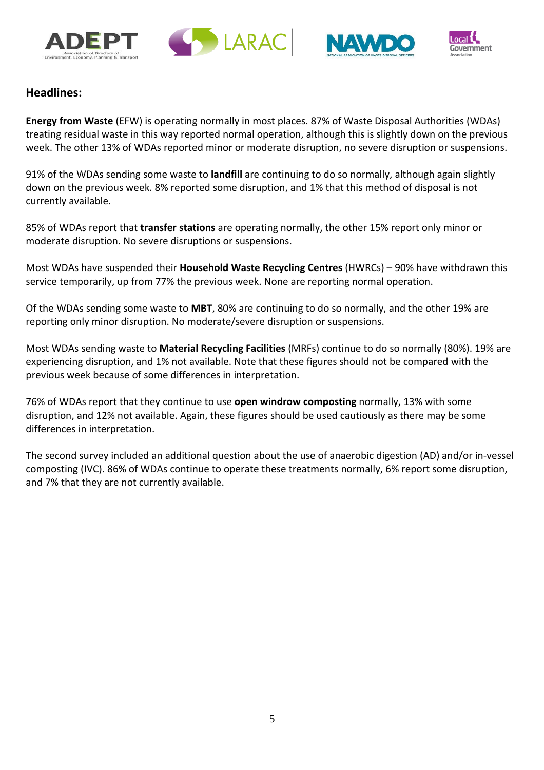





#### **Headlines:**

**Energy from Waste** (EFW) is operating normally in most places. 87% of Waste Disposal Authorities (WDAs) treating residual waste in this way reported normal operation, although this is slightly down on the previous week. The other 13% of WDAs reported minor or moderate disruption, no severe disruption or suspensions.

91% of the WDAs sending some waste to **landfill** are continuing to do so normally, although again slightly down on the previous week. 8% reported some disruption, and 1% that this method of disposal is not currently available.

85% of WDAs report that **transfer stations** are operating normally, the other 15% report only minor or moderate disruption. No severe disruptions or suspensions.

Most WDAs have suspended their **Household Waste Recycling Centres** (HWRCs) – 90% have withdrawn this service temporarily, up from 77% the previous week. None are reporting normal operation.

Of the WDAs sending some waste to **MBT**, 80% are continuing to do so normally, and the other 19% are reporting only minor disruption. No moderate/severe disruption or suspensions.

Most WDAs sending waste to **Material Recycling Facilities** (MRFs) continue to do so normally (80%). 19% are experiencing disruption, and 1% not available. Note that these figures should not be compared with the previous week because of some differences in interpretation.

76% of WDAs report that they continue to use **open windrow composting** normally, 13% with some disruption, and 12% not available. Again, these figures should be used cautiously as there may be some differences in interpretation.

The second survey included an additional question about the use of anaerobic digestion (AD) and/or in-vessel composting (IVC). 86% of WDAs continue to operate these treatments normally, 6% report some disruption, and 7% that they are not currently available.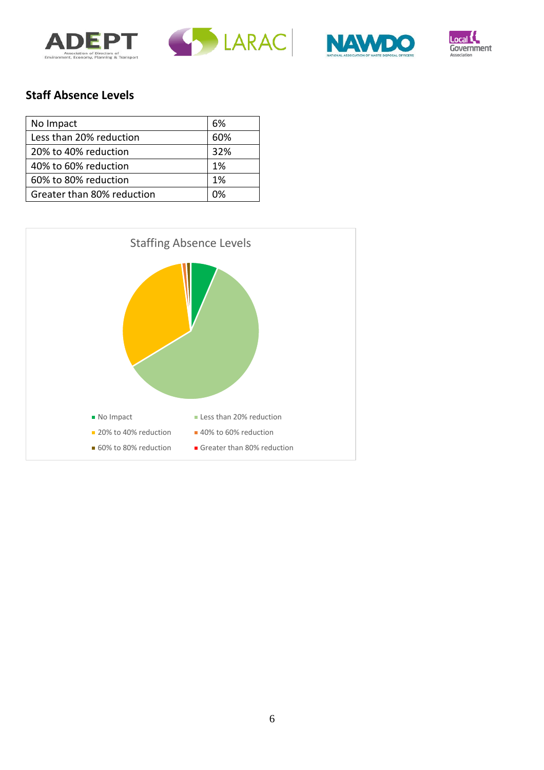





# **Staff Absence Levels**

| No Impact                  | 6%  |
|----------------------------|-----|
| Less than 20% reduction    | 60% |
| 20% to 40% reduction       | 32% |
| 40% to 60% reduction       | 1%  |
| 60% to 80% reduction       | 1%  |
| Greater than 80% reduction | በ%  |

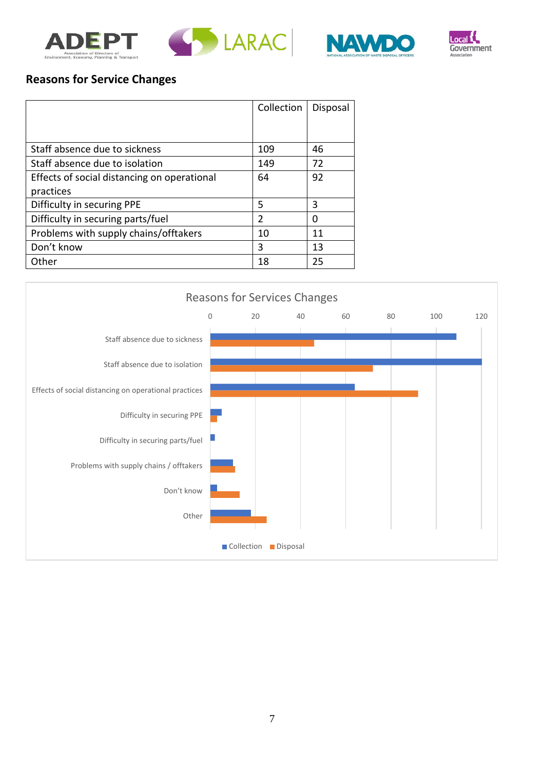





## **Reasons for Service Changes**

|                                             | Collection     | Disposal |
|---------------------------------------------|----------------|----------|
|                                             |                |          |
| Staff absence due to sickness               | 109            | 46       |
| Staff absence due to isolation              | 149            | 72       |
| Effects of social distancing on operational | 64             | 92       |
| practices                                   |                |          |
| Difficulty in securing PPE                  | 5              | 3        |
| Difficulty in securing parts/fuel           | $\overline{2}$ | 0        |
| Problems with supply chains/offtakers       | 10             | 11       |
| Don't know                                  | 3              | 13       |
| Other                                       | 18             | 25       |

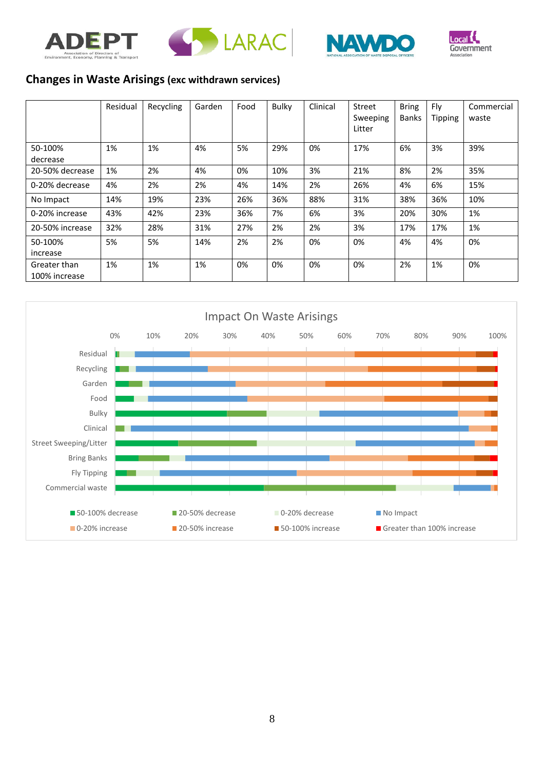





## **Changes in Waste Arisings (exc withdrawn services)**

|                               | Residual | Recycling | Garden | Food | <b>Bulky</b> | Clinical | Street<br>Sweeping<br>Litter | <b>Bring</b><br><b>Banks</b> | Fly<br><b>Tipping</b> | Commercial<br>waste |
|-------------------------------|----------|-----------|--------|------|--------------|----------|------------------------------|------------------------------|-----------------------|---------------------|
| 50-100%<br>decrease           | 1%       | 1%        | 4%     | 5%   | 29%          | 0%       | 17%                          | 6%                           | 3%                    | 39%                 |
| 20-50% decrease               | 1%       | 2%        | 4%     | 0%   | 10%          | 3%       | 21%                          | 8%                           | 2%                    | 35%                 |
| 0-20% decrease                | 4%       | 2%        | 2%     | 4%   | 14%          | 2%       | 26%                          | 4%                           | 6%                    | 15%                 |
| No Impact                     | 14%      | 19%       | 23%    | 26%  | 36%          | 88%      | 31%                          | 38%                          | 36%                   | 10%                 |
| 0-20% increase                | 43%      | 42%       | 23%    | 36%  | 7%           | 6%       | 3%                           | 20%                          | 30%                   | 1%                  |
| 20-50% increase               | 32%      | 28%       | 31%    | 27%  | 2%           | 2%       | 3%                           | 17%                          | 17%                   | 1%                  |
| 50-100%<br>increase           | 5%       | 5%        | 14%    | 2%   | 2%           | 0%       | 0%                           | 4%                           | 4%                    | 0%                  |
| Greater than<br>100% increase | 1%       | 1%        | 1%     | 0%   | 0%           | 0%       | 0%                           | 2%                           | 1%                    | 0%                  |

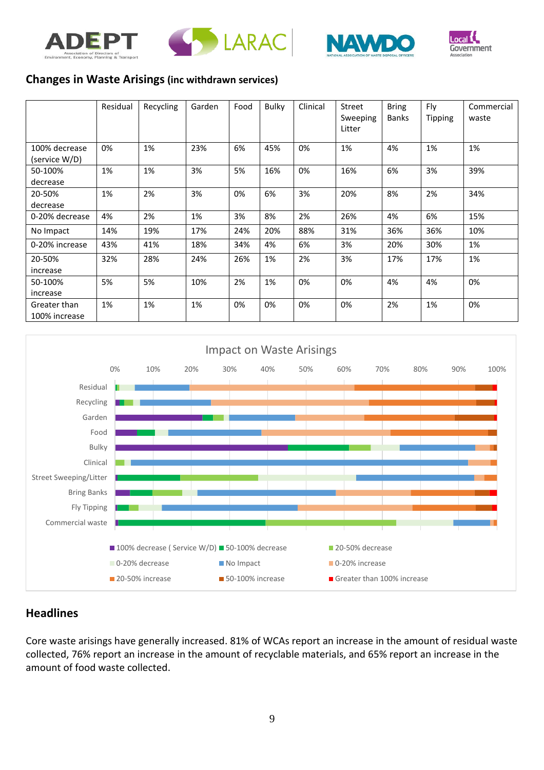





#### **Changes in Waste Arisings (inc withdrawn services)**

|                                | Residual | Recycling | Garden | Food | <b>Bulky</b> | Clinical | Street<br>Sweeping<br>Litter | <b>Bring</b><br><b>Banks</b> | Fly<br><b>Tipping</b> | Commercial<br>waste |
|--------------------------------|----------|-----------|--------|------|--------------|----------|------------------------------|------------------------------|-----------------------|---------------------|
| 100% decrease<br>(service W/D) | 0%       | 1%        | 23%    | 6%   | 45%          | 0%       | 1%                           | 4%                           | 1%                    | 1%                  |
| 50-100%<br>decrease            | 1%       | 1%        | 3%     | 5%   | 16%          | 0%       | 16%                          | 6%                           | 3%                    | 39%                 |
| 20-50%<br>decrease             | 1%       | 2%        | 3%     | 0%   | 6%           | 3%       | 20%                          | 8%                           | 2%                    | 34%                 |
| 0-20% decrease                 | 4%       | 2%        | 1%     | 3%   | 8%           | 2%       | 26%                          | 4%                           | 6%                    | 15%                 |
| No Impact                      | 14%      | 19%       | 17%    | 24%  | 20%          | 88%      | 31%                          | 36%                          | 36%                   | 10%                 |
| 0-20% increase                 | 43%      | 41%       | 18%    | 34%  | 4%           | 6%       | 3%                           | 20%                          | 30%                   | 1%                  |
| 20-50%<br>increase             | 32%      | 28%       | 24%    | 26%  | 1%           | 2%       | 3%                           | 17%                          | 17%                   | 1%                  |
| 50-100%<br>increase            | 5%       | 5%        | 10%    | 2%   | 1%           | 0%       | 0%                           | 4%                           | 4%                    | 0%                  |
| Greater than<br>100% increase  | 1%       | 1%        | 1%     | 0%   | 0%           | 0%       | 0%                           | 2%                           | 1%                    | 0%                  |



#### **Headlines**

Core waste arisings have generally increased. 81% of WCAs report an increase in the amount of residual waste collected, 76% report an increase in the amount of recyclable materials, and 65% report an increase in the amount of food waste collected.